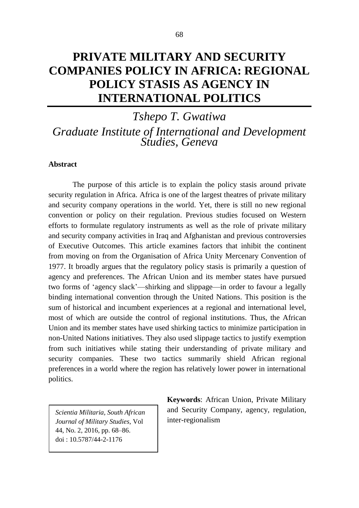# **PRIVATE MILITARY AND SECURITY COMPANIES POLICY IN AFRICA: REGIONAL POLICY STASIS AS AGENCY IN INTERNATIONAL POLITICS**

## *Tshepo T. Gwatiwa Graduate Institute of International and Development Studies, Geneva*

#### **Abstract**

The purpose of this article is to explain the policy stasis around private security regulation in Africa. Africa is one of the largest theatres of private military and security company operations in the world. Yet, there is still no new regional convention or policy on their regulation. Previous studies focused on Western efforts to formulate regulatory instruments as well as the role of private military and security company activities in Iraq and Afghanistan and previous controversies of Executive Outcomes. This article examines factors that inhibit the continent from moving on from the Organisation of Africa Unity Mercenary Convention of 1977. It broadly argues that the regulatory policy stasis is primarily a question of agency and preferences. The African Union and its member states have pursued two forms of 'agency slack'—shirking and slippage—in order to favour a legally binding international convention through the United Nations. This position is the sum of historical and incumbent experiences at a regional and international level, most of which are outside the control of regional institutions. Thus, the African Union and its member states have used shirking tactics to minimize participation in non-United Nations initiatives. They also used slippage tactics to justify exemption from such initiatives while stating their understanding of private military and security companies. These two tactics summarily shield African regional preferences in a world where the region has relatively lower power in international politics.

*Scientia Militaria, South African Journal of Military Studies,* Vol 44, No. 2, 2016, pp. 68–86. doi : 10.5787/44-2-1176

**Keywords**: African Union, Private Military and Security Company, agency, regulation, inter-regionalism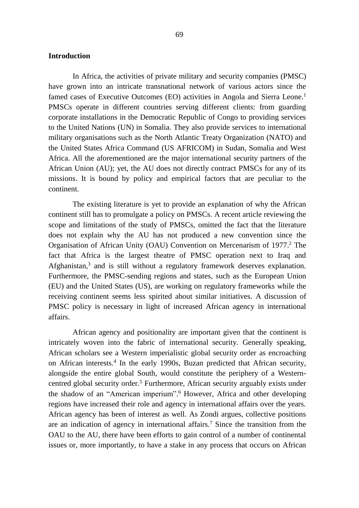#### **Introduction**

In Africa, the activities of private military and security companies (PMSC) have grown into an intricate transnational network of various actors since the famed cases of Executive Outcomes (EO) activities in Angola and Sierra Leone.<sup>1</sup> PMSCs operate in different countries serving different clients: from guarding corporate installations in the Democratic Republic of Congo to providing services to the United Nations (UN) in Somalia. They also provide services to international military organisations such as the North Atlantic Treaty Organization (NATO) and the United States Africa Command (US AFRICOM) in Sudan, Somalia and West Africa. All the aforementioned are the major international security partners of the African Union (AU); yet, the AU does not directly contract PMSCs for any of its missions. It is bound by policy and empirical factors that are peculiar to the continent.

The existing literature is yet to provide an explanation of why the African continent still has to promulgate a policy on PMSCs. A recent article reviewing the scope and limitations of the study of PMSCs, omitted the fact that the literature does not explain why the AU has not produced a new convention since the Organisation of African Unity (OAU) Convention on Mercenarism of 1977. <sup>2</sup> The fact that Africa is the largest theatre of PMSC operation next to Iraq and Afghanistan, 3 and is still without a regulatory framework deserves explanation. Furthermore, the PMSC-sending regions and states, such as the European Union (EU) and the United States (US), are working on regulatory frameworks while the receiving continent seems less spirited about similar initiatives. A discussion of PMSC policy is necessary in light of increased African agency in international affairs.

African agency and positionality are important given that the continent is intricately woven into the fabric of international security. Generally speaking, African scholars see a Western imperialistic global security order as encroaching on African interests. 4 In the early 1990s, Buzan predicted that African security, alongside the entire global South, would constitute the periphery of a Westerncentred global security order. <sup>5</sup> Furthermore, African security arguably exists under the shadow of an "American imperium". <sup>6</sup> However, Africa and other developing regions have increased their role and agency in international affairs over the years. African agency has been of interest as well. As Zondi argues, collective positions are an indication of agency in international affairs. <sup>7</sup> Since the transition from the OAU to the AU, there have been efforts to gain control of a number of continental issues or, more importantly, to have a stake in any process that occurs on African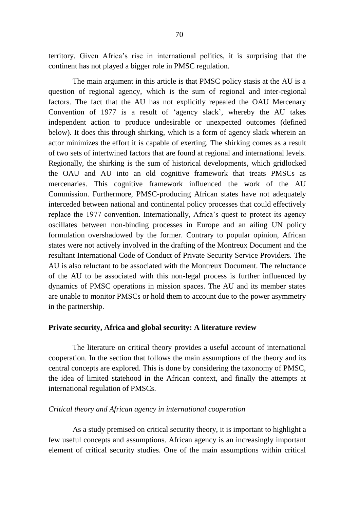territory. Given Africa's rise in international politics, it is surprising that the continent has not played a bigger role in PMSC regulation.

The main argument in this article is that PMSC policy stasis at the AU is a question of regional agency, which is the sum of regional and inter-regional factors. The fact that the AU has not explicitly repealed the OAU Mercenary Convention of 1977 is a result of 'agency slack', whereby the AU takes independent action to produce undesirable or unexpected outcomes (defined below). It does this through shirking, which is a form of agency slack wherein an actor minimizes the effort it is capable of exerting. The shirking comes as a result of two sets of intertwined factors that are found at regional and international levels. Regionally, the shirking is the sum of historical developments, which gridlocked the OAU and AU into an old cognitive framework that treats PMSCs as mercenaries. This cognitive framework influenced the work of the AU Commission. Furthermore, PMSC-producing African states have not adequately interceded between national and continental policy processes that could effectively replace the 1977 convention. Internationally, Africa's quest to protect its agency oscillates between non-binding processes in Europe and an ailing UN policy formulation overshadowed by the former. Contrary to popular opinion, African states were not actively involved in the drafting of the Montreux Document and the resultant International Code of Conduct of Private Security Service Providers. The AU is also reluctant to be associated with the Montreux Document. The reluctance of the AU to be associated with this non-legal process is further influenced by dynamics of PMSC operations in mission spaces. The AU and its member states are unable to monitor PMSCs or hold them to account due to the power asymmetry in the partnership.

#### **Private security, Africa and global security: A literature review**

The literature on critical theory provides a useful account of international cooperation. In the section that follows the main assumptions of the theory and its central concepts are explored. This is done by considering the taxonomy of PMSC, the idea of limited statehood in the African context, and finally the attempts at international regulation of PMSCs.

#### *Critical theory and African agency in international cooperation*

As a study premised on critical security theory, it is important to highlight a few useful concepts and assumptions. African agency is an increasingly important element of critical security studies. One of the main assumptions within critical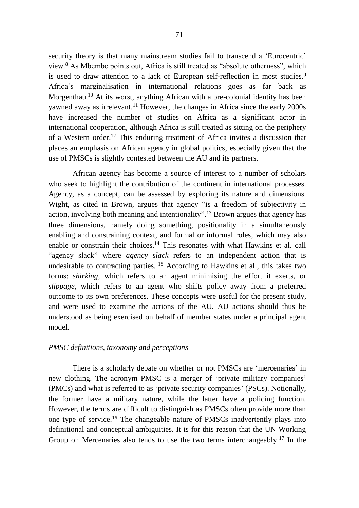security theory is that many mainstream studies fail to transcend a 'Eurocentric' view. <sup>8</sup> As Mbembe points out, Africa is still treated as "absolute otherness", which is used to draw attention to a lack of European self-reflection in most studies.<sup>9</sup> Africa's marginalisation in international relations goes as far back as Morgenthau. <sup>10</sup> At its worst, anything African with a pre-colonial identity has been yawned away as irrelevant. <sup>11</sup> However, the changes in Africa since the early 2000s have increased the number of studies on Africa as a significant actor in international cooperation, although Africa is still treated as sitting on the periphery of a Western order. <sup>12</sup> This enduring treatment of Africa invites a discussion that places an emphasis on African agency in global politics, especially given that the use of PMSCs is slightly contested between the AU and its partners.

African agency has become a source of interest to a number of scholars who seek to highlight the contribution of the continent in international processes. Agency, as a concept, can be assessed by exploring its nature and dimensions. Wight, as cited in Brown, argues that agency "is a freedom of subjectivity in action, involving both meaning and intentionality".<sup>13</sup> Brown argues that agency has three dimensions, namely doing something, positionality in a simultaneously enabling and constraining context, and formal or informal roles, which may also enable or constrain their choices. <sup>14</sup> This resonates with what Hawkins et al. call "agency slack" where *agency slack* refers to an independent action that is undesirable to contracting parties. <sup>15</sup> According to Hawkins et al., this takes two forms: *shirking*, which refers to an agent minimising the effort it exerts, or *slippage,* which refers to an agent who shifts policy away from a preferred outcome to its own preferences. These concepts were useful for the present study, and were used to examine the actions of the AU. AU actions should thus be understood as being exercised on behalf of member states under a principal agent model.

## *PMSC definitions, taxonomy and perceptions*

There is a scholarly debate on whether or not PMSCs are 'mercenaries' in new clothing. The acronym PMSC is a merger of 'private military companies' (PMCs) and what is referred to as 'private security companies' (PSCs). Notionally, the former have a military nature, while the latter have a policing function. However, the terms are difficult to distinguish as PMSCs often provide more than one type of service. <sup>16</sup> The changeable nature of PMSCs inadvertently plays into definitional and conceptual ambiguities. It is for this reason that the UN Working Group on Mercenaries also tends to use the two terms interchangeably.<sup>17</sup> In the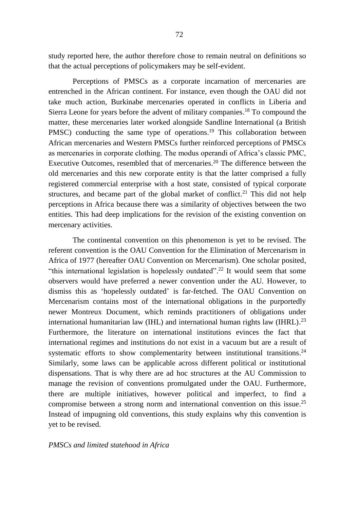study reported here, the author therefore chose to remain neutral on definitions so that the actual perceptions of policymakers may be self-evident.

Perceptions of PMSCs as a corporate incarnation of mercenaries are entrenched in the African continent. For instance, even though the OAU did not take much action, Burkinabe mercenaries operated in conflicts in Liberia and Sierra Leone for years before the advent of military companies. <sup>18</sup> To compound the matter, these mercenaries later worked alongside Sandline International (a British PMSC) conducting the same type of operations.<sup>19</sup> This collaboration between African mercenaries and Western PMSCs further reinforced perceptions of PMSCs as mercenaries in corporate clothing. The modus operandi of Africa's classic PMC, Executive Outcomes, resembled that of mercenaries. <sup>20</sup> The difference between the old mercenaries and this new corporate entity is that the latter comprised a fully registered commercial enterprise with a host state, consisted of typical corporate structures, and became part of the global market of conflict.<sup>21</sup> This did not help perceptions in Africa because there was a similarity of objectives between the two entities. This had deep implications for the revision of the existing convention on mercenary activities.

The continental convention on this phenomenon is yet to be revised. The referent convention is the OAU Convention for the Elimination of Mercenarism in Africa of 1977 (hereafter OAU Convention on Mercenarism). One scholar posited, "this international legislation is hopelessly outdated".<sup>22</sup> It would seem that some observers would have preferred a newer convention under the AU. However, to dismiss this as 'hopelessly outdated' is far-fetched. The OAU Convention on Mercenarism contains most of the international obligations in the purportedly newer Montreux Document, which reminds practitioners of obligations under international humanitarian law (IHL) and international human rights law (IHRL).<sup>23</sup> Furthermore, the literature on international institutions evinces the fact that international regimes and institutions do not exist in a vacuum but are a result of systematic efforts to show complementarity between institutional transitions.<sup>24</sup> Similarly, some laws can be applicable across different political or institutional dispensations. That is why there are ad hoc structures at the AU Commission to manage the revision of conventions promulgated under the OAU. Furthermore, there are multiple initiatives, however political and imperfect, to find a compromise between a strong norm and international convention on this issue.<sup>25</sup> Instead of impugning old conventions, this study explains why this convention is yet to be revised.

#### *PMSCs and limited statehood in Africa*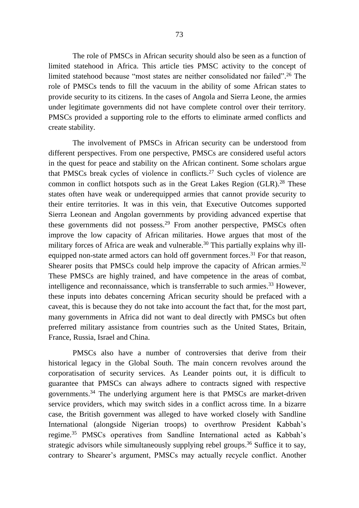The role of PMSCs in African security should also be seen as a function of limited statehood in Africa. This article ties PMSC activity to the concept of limited statehood because "most states are neither consolidated nor failed". <sup>26</sup> The role of PMSCs tends to fill the vacuum in the ability of some African states to provide security to its citizens. In the cases of Angola and Sierra Leone, the armies under legitimate governments did not have complete control over their territory. PMSCs provided a supporting role to the efforts to eliminate armed conflicts and create stability.

The involvement of PMSCs in African security can be understood from different perspectives. From one perspective, PMSCs are considered useful actors in the quest for peace and stability on the African continent. Some scholars argue that PMSCs break cycles of violence in conflicts. <sup>27</sup> Such cycles of violence are common in conflict hotspots such as in the Great Lakes Region (GLR). <sup>28</sup> These states often have weak or underequipped armies that cannot provide security to their entire territories. It was in this vein, that Executive Outcomes supported Sierra Leonean and Angolan governments by providing advanced expertise that these governments did not possess.<sup>29</sup> From another perspective, PMSCs often improve the low capacity of African militaries. Howe argues that most of the military forces of Africa are weak and vulnerable. <sup>30</sup> This partially explains why illequipped non-state armed actors can hold off government forces.<sup>31</sup> For that reason, Shearer posits that PMSCs could help improve the capacity of African armies.<sup>32</sup> These PMSCs are highly trained, and have competence in the areas of combat, intelligence and reconnaissance, which is transferrable to such armies. <sup>33</sup> However, these inputs into debates concerning African security should be prefaced with a caveat, this is because they do not take into account the fact that, for the most part, many governments in Africa did not want to deal directly with PMSCs but often preferred military assistance from countries such as the United States, Britain, France, Russia, Israel and China.

PMSCs also have a number of controversies that derive from their historical legacy in the Global South. The main concern revolves around the corporatisation of security services. As Leander points out, it is difficult to guarantee that PMSCs can always adhere to contracts signed with respective governments. <sup>34</sup> The underlying argument here is that PMSCs are market-driven service providers, which may switch sides in a conflict across time. In a bizarre case, the British government was alleged to have worked closely with Sandline International (alongside Nigerian troops) to overthrow President Kabbah's regime. <sup>35</sup> PMSCs operatives from Sandline International acted as Kabbah's strategic advisors while simultaneously supplying rebel groups.<sup>36</sup> Suffice it to say, contrary to Shearer's argument, PMSCs may actually recycle conflict. Another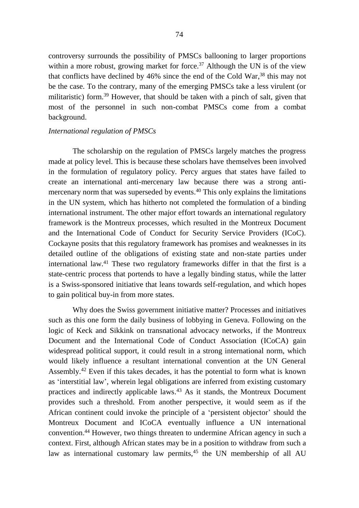controversy surrounds the possibility of PMSCs ballooning to larger proportions within a more robust, growing market for force.<sup>37</sup> Although the UN is of the view that conflicts have declined by 46% since the end of the Cold War, <sup>38</sup> this may not be the case. To the contrary, many of the emerging PMSCs take a less virulent (or militaristic) form. <sup>39</sup> However, that should be taken with a pinch of salt, given that most of the personnel in such non-combat PMSCs come from a combat background.

#### *International regulation of PMSCs*

The scholarship on the regulation of PMSCs largely matches the progress made at policy level. This is because these scholars have themselves been involved in the formulation of regulatory policy. Percy argues that states have failed to create an international anti-mercenary law because there was a strong antimercenary norm that was superseded by events. <sup>40</sup> This only explains the limitations in the UN system, which has hitherto not completed the formulation of a binding international instrument. The other major effort towards an international regulatory framework is the Montreux processes, which resulted in the Montreux Document and the International Code of Conduct for Security Service Providers (ICoC). Cockayne posits that this regulatory framework has promises and weaknesses in its detailed outline of the obligations of existing state and non-state parties under international law. <sup>41</sup> These two regulatory frameworks differ in that the first is a state-centric process that portends to have a legally binding status, while the latter is a Swiss-sponsored initiative that leans towards self-regulation, and which hopes to gain political buy-in from more states.

Why does the Swiss government initiative matter? Processes and initiatives such as this one form the daily business of lobbying in Geneva. Following on the logic of Keck and Sikkink on transnational advocacy networks, if the Montreux Document and the International Code of Conduct Association (ICoCA) gain widespread political support, it could result in a strong international norm, which would likely influence a resultant international convention at the UN General Assembly. <sup>42</sup> Even if this takes decades, it has the potential to form what is known as 'interstitial law', wherein legal obligations are inferred from existing customary practices and indirectly applicable laws. <sup>43</sup> As it stands, the Montreux Document provides such a threshold. From another perspective, it would seem as if the African continent could invoke the principle of a 'persistent objector' should the Montreux Document and ICoCA eventually influence a UN international convention. <sup>44</sup> However, two things threaten to undermine African agency in such a context. First, although African states may be in a position to withdraw from such a law as international customary law permits, <sup>45</sup> the UN membership of all AU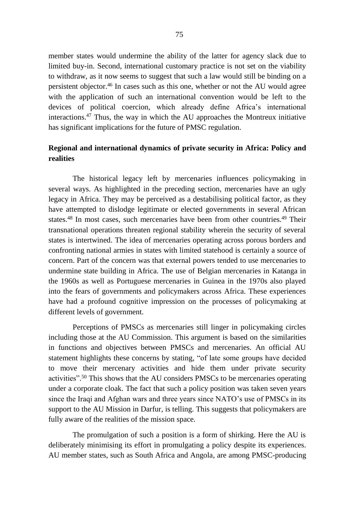member states would undermine the ability of the latter for agency slack due to limited buy-in. Second, international customary practice is not set on the viability to withdraw, as it now seems to suggest that such a law would still be binding on a persistent objector. <sup>46</sup> In cases such as this one, whether or not the AU would agree with the application of such an international convention would be left to the devices of political coercion, which already define Africa's international interactions. <sup>47</sup> Thus, the way in which the AU approaches the Montreux initiative has significant implications for the future of PMSC regulation.

## **Regional and international dynamics of private security in Africa: Policy and realities**

The historical legacy left by mercenaries influences policymaking in several ways. As highlighted in the preceding section, mercenaries have an ugly legacy in Africa. They may be perceived as a destabilising political factor, as they have attempted to dislodge legitimate or elected governments in several African states. <sup>48</sup> In most cases, such mercenaries have been from other countries. <sup>49</sup> Their transnational operations threaten regional stability wherein the security of several states is intertwined. The idea of mercenaries operating across porous borders and confronting national armies in states with limited statehood is certainly a source of concern. Part of the concern was that external powers tended to use mercenaries to undermine state building in Africa. The use of Belgian mercenaries in Katanga in the 1960s as well as Portuguese mercenaries in Guinea in the 1970s also played into the fears of governments and policymakers across Africa. These experiences have had a profound cognitive impression on the processes of policymaking at different levels of government.

Perceptions of PMSCs as mercenaries still linger in policymaking circles including those at the AU Commission. This argument is based on the similarities in functions and objectives between PMSCs and mercenaries. An official AU statement highlights these concerns by stating, "of late some groups have decided to move their mercenary activities and hide them under private security activities". <sup>50</sup> This shows that the AU considers PMSCs to be mercenaries operating under a corporate cloak. The fact that such a policy position was taken seven years since the Iraqi and Afghan wars and three years since NATO's use of PMSCs in its support to the AU Mission in Darfur, is telling. This suggests that policymakers are fully aware of the realities of the mission space.

The promulgation of such a position is a form of shirking. Here the AU is deliberately minimising its effort in promulgating a policy despite its experiences. AU member states, such as South Africa and Angola, are among PMSC-producing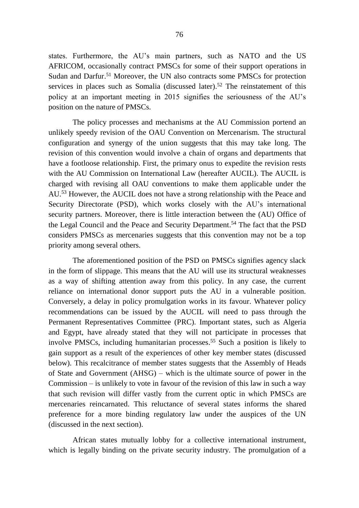states. Furthermore, the AU's main partners, such as NATO and the US AFRICOM, occasionally contract PMSCs for some of their support operations in Sudan and Darfur. <sup>51</sup> Moreover, the UN also contracts some PMSCs for protection services in places such as Somalia (discussed later). <sup>52</sup> The reinstatement of this policy at an important meeting in 2015 signifies the seriousness of the AU's position on the nature of PMSCs.

The policy processes and mechanisms at the AU Commission portend an unlikely speedy revision of the OAU Convention on Mercenarism. The structural configuration and synergy of the union suggests that this may take long. The revision of this convention would involve a chain of organs and departments that have a footloose relationship. First, the primary onus to expedite the revision rests with the AU Commission on International Law (hereafter AUCIL). The AUCIL is charged with revising all OAU conventions to make them applicable under the AU. <sup>53</sup> However, the AUCIL does not have a strong relationship with the Peace and Security Directorate (PSD), which works closely with the AU's international security partners. Moreover, there is little interaction between the (AU) Office of the Legal Council and the Peace and Security Department. <sup>54</sup> The fact that the PSD considers PMSCs as mercenaries suggests that this convention may not be a top priority among several others.

The aforementioned position of the PSD on PMSCs signifies agency slack in the form of slippage. This means that the AU will use its structural weaknesses as a way of shifting attention away from this policy. In any case, the current reliance on international donor support puts the AU in a vulnerable position. Conversely, a delay in policy promulgation works in its favour. Whatever policy recommendations can be issued by the AUCIL will need to pass through the Permanent Representatives Committee (PRC). Important states, such as Algeria and Egypt, have already stated that they will not participate in processes that involve PMSCs, including humanitarian processes. <sup>55</sup> Such a position is likely to gain support as a result of the experiences of other key member states (discussed below). This recalcitrance of member states suggests that the Assembly of Heads of State and Government (AHSG) – which is the ultimate source of power in the Commission – is unlikely to vote in favour of the revision of this law in such a way that such revision will differ vastly from the current optic in which PMSCs are mercenaries reincarnated. This reluctance of several states informs the shared preference for a more binding regulatory law under the auspices of the UN (discussed in the next section).

African states mutually lobby for a collective international instrument, which is legally binding on the private security industry. The promulgation of a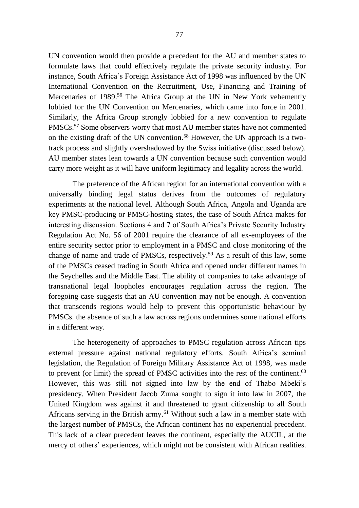UN convention would then provide a precedent for the AU and member states to formulate laws that could effectively regulate the private security industry. For instance, South Africa's Foreign Assistance Act of 1998 was influenced by the UN International Convention on the Recruitment, Use, Financing and Training of Mercenaries of 1989. <sup>56</sup> The Africa Group at the UN in New York vehemently lobbied for the UN Convention on Mercenaries, which came into force in 2001. Similarly, the Africa Group strongly lobbied for a new convention to regulate PMSCs.<sup>57</sup> Some observers worry that most AU member states have not commented on the existing draft of the UN convention. <sup>58</sup> However, the UN approach is a twotrack process and slightly overshadowed by the Swiss initiative (discussed below). AU member states lean towards a UN convention because such convention would carry more weight as it will have uniform legitimacy and legality across the world.

The preference of the African region for an international convention with a universally binding legal status derives from the outcomes of regulatory experiments at the national level. Although South Africa, Angola and Uganda are key PMSC-producing or PMSC-hosting states, the case of South Africa makes for interesting discussion. Sections 4 and 7 of South Africa's Private Security Industry Regulation Act No. 56 of 2001 require the clearance of all ex-employees of the entire security sector prior to employment in a PMSC and close monitoring of the change of name and trade of PMSCs, respectively. <sup>59</sup> As a result of this law, some of the PMSCs ceased trading in South Africa and opened under different names in the Seychelles and the Middle East. The ability of companies to take advantage of transnational legal loopholes encourages regulation across the region. The foregoing case suggests that an AU convention may not be enough. A convention that transcends regions would help to prevent this opportunistic behaviour by PMSCs. the absence of such a law across regions undermines some national efforts in a different way.

The heterogeneity of approaches to PMSC regulation across African tips external pressure against national regulatory efforts. South Africa's seminal legislation, the Regulation of Foreign Military Assistance Act of 1998, was made to prevent (or limit) the spread of PMSC activities into the rest of the continent.<sup>60</sup> However, this was still not signed into law by the end of Thabo Mbeki's presidency. When President Jacob Zuma sought to sign it into law in 2007, the United Kingdom was against it and threatened to grant citizenship to all South Africans serving in the British army. <sup>61</sup> Without such a law in a member state with the largest number of PMSCs, the African continent has no experiential precedent. This lack of a clear precedent leaves the continent, especially the AUCIL, at the mercy of others' experiences, which might not be consistent with African realities.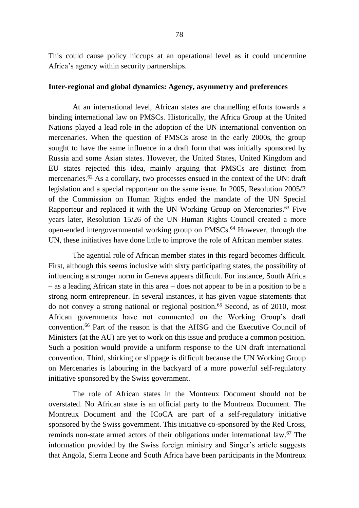This could cause policy hiccups at an operational level as it could undermine Africa's agency within security partnerships.

#### **Inter-regional and global dynamics: Agency, asymmetry and preferences**

At an international level, African states are channelling efforts towards a binding international law on PMSCs. Historically, the Africa Group at the United Nations played a lead role in the adoption of the UN international convention on mercenaries. When the question of PMSCs arose in the early 2000s, the group sought to have the same influence in a draft form that was initially sponsored by Russia and some Asian states. However, the United States, United Kingdom and EU states rejected this idea, mainly arguing that PMSCs are distinct from mercenaries. <sup>62</sup> As a corollary, two processes ensued in the context of the UN: draft legislation and a special rapporteur on the same issue. In 2005, Resolution 2005/2 of the Commission on Human Rights ended the mandate of the UN Special Rapporteur and replaced it with the UN Working Group on Mercenaries. <sup>63</sup> Five years later, Resolution 15/26 of the UN Human Rights Council created a more open-ended intergovernmental working group on PMSCs. <sup>64</sup> However, through the UN, these initiatives have done little to improve the role of African member states.

The agential role of African member states in this regard becomes difficult. First, although this seems inclusive with sixty participating states, the possibility of influencing a stronger norm in Geneva appears difficult. For instance, South Africa – as a leading African state in this area – does not appear to be in a position to be a strong norm entrepreneur. In several instances, it has given vague statements that do not convey a strong national or regional position.<sup>65</sup> Second, as of 2010, most African governments have not commented on the Working Group's draft convention. <sup>66</sup> Part of the reason is that the AHSG and the Executive Council of Ministers (at the AU) are yet to work on this issue and produce a common position. Such a position would provide a uniform response to the UN draft international convention. Third, shirking or slippage is difficult because the UN Working Group on Mercenaries is labouring in the backyard of a more powerful self-regulatory initiative sponsored by the Swiss government.

The role of African states in the Montreux Document should not be overstated. No African state is an official party to the Montreux Document. The Montreux Document and the ICoCA are part of a self-regulatory initiative sponsored by the Swiss government. This initiative co-sponsored by the Red Cross, reminds non-state armed actors of their obligations under international law. <sup>67</sup> The information provided by the Swiss foreign ministry and Singer's article suggests that Angola, Sierra Leone and South Africa have been participants in the Montreux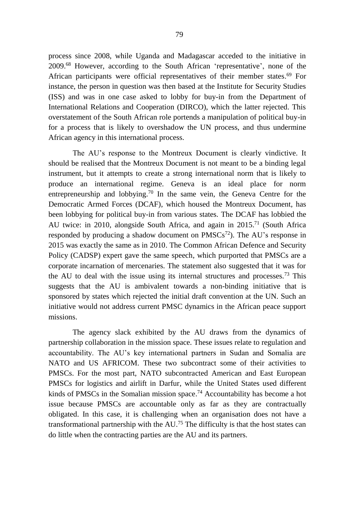process since 2008, while Uganda and Madagascar acceded to the initiative in 2009. <sup>68</sup> However, according to the South African 'representative', none of the African participants were official representatives of their member states. <sup>69</sup> For instance, the person in question was then based at the Institute for Security Studies (ISS) and was in one case asked to lobby for buy-in from the Department of International Relations and Cooperation (DIRCO), which the latter rejected. This overstatement of the South African role portends a manipulation of political buy-in for a process that is likely to overshadow the UN process, and thus undermine African agency in this international process.

The AU's response to the Montreux Document is clearly vindictive. It should be realised that the Montreux Document is not meant to be a binding legal instrument, but it attempts to create a strong international norm that is likely to produce an international regime. Geneva is an ideal place for norm entrepreneurship and lobbying.<sup>70</sup> In the same vein, the Geneva Centre for the Democratic Armed Forces (DCAF), which housed the Montreux Document, has been lobbying for political buy-in from various states. The DCAF has lobbied the AU twice: in 2010, alongside South Africa, and again in 2015. <sup>71</sup> (South Africa responded by producing a shadow document on  $PMSCs^{72}$ ). The AU's response in 2015 was exactly the same as in 2010. The Common African Defence and Security Policy (CADSP) expert gave the same speech, which purported that PMSCs are a corporate incarnation of mercenaries. The statement also suggested that it was for the AU to deal with the issue using its internal structures and processes.<sup>73</sup> This suggests that the AU is ambivalent towards a non-binding initiative that is sponsored by states which rejected the initial draft convention at the UN. Such an initiative would not address current PMSC dynamics in the African peace support missions.

The agency slack exhibited by the AU draws from the dynamics of partnership collaboration in the mission space. These issues relate to regulation and accountability. The AU's key international partners in Sudan and Somalia are NATO and US AFRICOM. These two subcontract some of their activities to PMSCs. For the most part, NATO subcontracted American and East European PMSCs for logistics and airlift in Darfur, while the United States used different kinds of PMSCs in the Somalian mission space. <sup>74</sup> Accountability has become a hot issue because PMSCs are accountable only as far as they are contractually obligated. In this case, it is challenging when an organisation does not have a transformational partnership with the AU. <sup>75</sup> The difficulty is that the host states can do little when the contracting parties are the AU and its partners.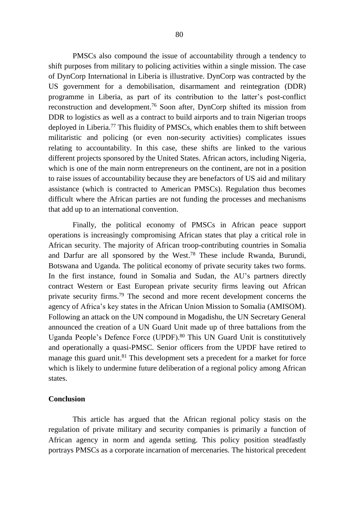PMSCs also compound the issue of accountability through a tendency to shift purposes from military to policing activities within a single mission. The case of DynCorp International in Liberia is illustrative. DynCorp was contracted by the US government for a demobilisation, disarmament and reintegration (DDR) programme in Liberia, as part of its contribution to the latter's post-conflict reconstruction and development. <sup>76</sup> Soon after, DynCorp shifted its mission from DDR to logistics as well as a contract to build airports and to train Nigerian troops deployed in Liberia. <sup>77</sup> This fluidity of PMSCs, which enables them to shift between militaristic and policing (or even non-security activities) complicates issues relating to accountability. In this case, these shifts are linked to the various different projects sponsored by the United States. African actors, including Nigeria, which is one of the main norm entrepreneurs on the continent, are not in a position to raise issues of accountability because they are benefactors of US aid and military assistance (which is contracted to American PMSCs). Regulation thus becomes difficult where the African parties are not funding the processes and mechanisms that add up to an international convention.

Finally, the political economy of PMSCs in African peace support operations is increasingly compromising African states that play a critical role in African security. The majority of African troop-contributing countries in Somalia and Darfur are all sponsored by the West. <sup>78</sup> These include Rwanda, Burundi, Botswana and Uganda. The political economy of private security takes two forms. In the first instance, found in Somalia and Sudan, the AU's partners directly contract Western or East European private security firms leaving out African private security firms. <sup>79</sup> The second and more recent development concerns the agency of Africa's key states in the African Union Mission to Somalia (AMISOM). Following an attack on the UN compound in Mogadishu, the UN Secretary General announced the creation of a UN Guard Unit made up of three battalions from the Uganda People's Defence Force (UPDF). <sup>80</sup> This UN Guard Unit is constitutively and operationally a quasi-PMSC. Senior officers from the UPDF have retired to manage this guard unit.<sup>81</sup> This development sets a precedent for a market for force which is likely to undermine future deliberation of a regional policy among African states.

#### **Conclusion**

This article has argued that the African regional policy stasis on the regulation of private military and security companies is primarily a function of African agency in norm and agenda setting. This policy position steadfastly portrays PMSCs as a corporate incarnation of mercenaries. The historical precedent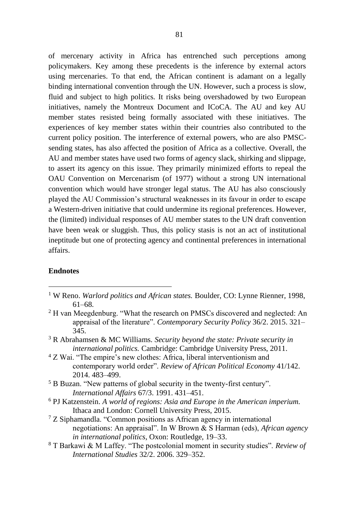of mercenary activity in Africa has entrenched such perceptions among policymakers. Key among these precedents is the inference by external actors using mercenaries. To that end, the African continent is adamant on a legally binding international convention through the UN. However, such a process is slow, fluid and subject to high politics. It risks being overshadowed by two European initiatives, namely the Montreux Document and ICoCA. The AU and key AU member states resisted being formally associated with these initiatives. The experiences of key member states within their countries also contributed to the current policy position. The interference of external powers, who are also PMSCsending states, has also affected the position of Africa as a collective. Overall, the AU and member states have used two forms of agency slack, shirking and slippage, to assert its agency on this issue. They primarily minimized efforts to repeal the OAU Convention on Mercenarism (of 1977) without a strong UN international convention which would have stronger legal status. The AU has also consciously played the AU Commission's structural weaknesses in its favour in order to escape a Western-driven initiative that could undermine its regional preferences. However, the (limited) individual responses of AU member states to the UN draft convention have been weak or sluggish. Thus, this policy stasis is not an act of institutional ineptitude but one of protecting agency and continental preferences in international affairs.

#### **Endnotes**

-

- <sup>2</sup> H van Meegdenburg. "What the research on PMSCs discovered and neglected: An appraisal of the literature". *Contemporary Security Policy* 36/2. 2015. 321– 345.
- <sup>3</sup> R Abrahamsen & MC Williams. *Security beyond the state: Private security in international politics.* Cambridge: Cambridge University Press, 2011.
- <sup>4</sup> Z Wai. "The empire's new clothes: Africa, liberal interventionism and contemporary world order". *Review of African Political Economy* 41/142. 2014. 483–499.
- <sup>5</sup> B Buzan. "New patterns of global security in the twenty-first century". *International Affairs* 67/3. 1991. 431–451.
- <sup>6</sup> PJ Katzenstein. *A world of regions: Asia and Europe in the American imperium.* Ithaca and London: Cornell University Press, 2015.
- <sup>7</sup> Z Siphamandla. "Common positions as African agency in international negotiations: An appraisal". In W Brown & S Harman (eds), *African agency in international politics*, Oxon: Routledge, 19–33.
- <sup>8</sup> T Barkawi & M Laffey. "The postcolonial moment in security studies". *Review of International Studies* 32/2. 2006. 329–352.

<sup>&</sup>lt;sup>1</sup> W Reno. *Warlord politics and African states.* Boulder, CO: Lynne Rienner, 1998, 61–68.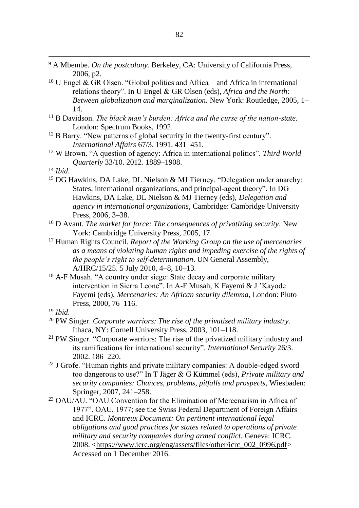- <sup>9</sup> A Mbembe. *On the postcolony.* Berkeley, CA: University of California Press, 2006, p2.
- <sup>10</sup> U Engel & GR Olsen. "Global politics and Africa and Africa in international relations theory". In U Engel & GR Olsen (eds), *Africa and the North: Between globalization and marginalization.* New York: Routledge, 2005, 1– 14.
- <sup>11</sup> B Davidson. *The black man's burden: Africa and the curse of the nation-state.* London: Spectrum Books, 1992.
- <sup>12</sup> B Barry. "New patterns of global security in the twenty-first century". *International Affairs* 67/3. 1991. 431–451.
- <sup>13</sup> W Brown. "A question of agency: Africa in international politics". *Third World Quarterly* 33/10. 2012. 1889–1908.
- <sup>14</sup> *Ibid*.

- <sup>15</sup> DG Hawkins, DA Lake, DL Nielson & MJ Tierney. "Delegation under anarchy: States, international organizations, and principal-agent theory". In DG Hawkins, DA Lake, DL Nielson & MJ Tierney (eds), *Delegation and agency in international organizations*, Cambridge: Cambridge University Press, 2006, 3–38.
- <sup>16</sup> D Avant. *The market for force: The consequences of privatizing security*. New York: Cambridge University Press, 2005, 17.
- <sup>17</sup> Human Rights Council. *Report of the Working Group on the use of mercenaries as a means of violating human rights and impeding exercise of the rights of the people's right to self-determination*. UN General Assembly, A/HRC/15/25. 5 July 2010, 4–8, 10–13.
- <sup>18</sup> A-F Musah. "A country under siege: State decay and corporate military intervention in Sierra Leone". In A-F Musah, K Fayemi & J 'Kayode Fayemi (eds), *Mercenaries: An African security dilemma*, London: Pluto Press, 2000, 76–116.

- <sup>20</sup> PW Singer. *Corporate warriors: The rise of the privatized military industry.* Ithaca, NY: Cornell University Press, 2003, 101–118.
- <sup>21</sup> PW Singer. "Corporate warriors: The rise of the privatized military industry and its ramifications for international security". *International Security* 26/3. 2002. 186–220.
- $22$  J Grofe. "Human rights and private military companies: A double-edged sword too dangerous to use?" In T Jäger & G Kümmel (eds), *Private military and security companies: Chances, problems, pitfalls and prospects*, Wiesbaden: Springer, 2007, 241–258.
- <sup>23</sup> OAU/AU. "OAU Convention for the Elimination of Mercenarism in Africa of 1977". OAU, 1977; see the Swiss Federal Department of Foreign Affairs and ICRC. *Montreux Document: On pertinent international legal obligations and good practices for states related to operations of private military and security companies during armed conflict.* Geneva: ICRC. 2008. [<https://www.icrc.org/eng/assets/files/other/icrc\\_002\\_0996.pdf>](https://www.icrc.org/eng/assets/files/other/icrc_002_0996.pdf) Accessed on 1 December 2016.

<sup>19</sup> *Ibid*.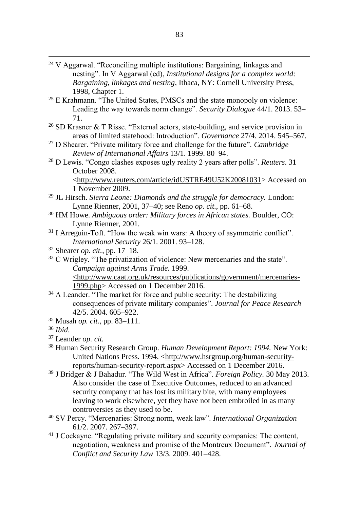- <sup>24</sup> V Aggarwal. "Reconciling multiple institutions: Bargaining, linkages and nesting". In V Aggarwal (ed), *Institutional designs for a complex world: Bargaining, linkages and nesting*, Ithaca, NY: Cornell University Press, 1998, Chapter 1.
- <sup>25</sup> E Krahmann. "The United States, PMSCs and the state monopoly on violence: Leading the way towards norm change". *Security Dialogue* 44/1. 2013. 53– 71.
- <sup>26</sup> SD Krasner & T Risse. "External actors, state-building, and service provision in areas of limited statehood: Introduction". *Governance* 27/4. 2014. 545–567.
- <sup>27</sup> D Shearer. "Private military force and challenge for the future". *Cambridge Review of International Affairs* 13/1. 1999. 80–94.
- <sup>28</sup> D Lewis. "Congo clashes exposes ugly reality 2 years after polls"*. Reuters*. 31 October 2008.

[<http://www.reuters.com/article/idUSTRE49U52K20081031>](http://www.reuters.com/article/idUSTRE49U52K20081031) Accessed on 1 November 2009.

- <sup>29</sup> JL Hirsch. *Sierra Leone: Diamonds and the struggle for democracy.* London: Lynne Rienner, 2001, 37–40; see Reno *op. cit*., pp. 61–68.
- <sup>30</sup> HM Howe. *Ambiguous order: Military forces in African states.* Boulder, CO: Lynne Rienner, 2001.
- <sup>31</sup> I Arreguin-Toft. "How the weak win wars: A theory of asymmetric conflict". *International Security* 26/1. 2001. 93–128.
- <sup>32</sup> Shearer *op. cit.*, pp. 17–18.
- <sup>33</sup> C Wrigley. "The privatization of violence: New mercenaries and the state". *Campaign against Arms Trade.* 1999. [<http://www.caat.org.uk/resources/publications/government/mercenaries-](http://www.caat.org.uk/resources/publications/government/mercenaries-1999.php)
- [1999.php>](http://www.caat.org.uk/resources/publications/government/mercenaries-1999.php) Accessed on 1 December 2016. <sup>34</sup> A Leander. "The market for force and public security: The destabilizing
	- consequences of private military companies". *Journal for Peace Research* 42/5. 2004. 605–922.
- <sup>35</sup> Musah *op. cit*., pp. 83–111.
- <sup>36</sup> *Ibid*.

- <sup>37</sup> Leander *op. cit.*
- <sup>38</sup> Human Security Research Group. *Human Development Report: 1994.* New York: United Nations Press. 1994. [<http://www.hsrgroup.org/human-security](http://www.hsrgroup.org/human-security-reports/human-security-report.aspx)[reports/human-security-report.aspx>](http://www.hsrgroup.org/human-security-reports/human-security-report.aspx) Accessed on 1 December 2016.
- <sup>39</sup> J Bridger & J Bahadur. "The Wild West in Africa". *Foreign Policy.* 30 May 2013. Also consider the case of Executive Outcomes, reduced to an advanced security company that has lost its military bite, with many employees leaving to work elsewhere, yet they have not been embroiled in as many controversies as they used to be.
- <sup>40</sup> SV Percy. "Mercenaries: Strong norm, weak law". *International Organization* 61/2. 2007. 267–397.
- <sup>41</sup> J Cockayne. "Regulating private military and security companies: The content, negotiation, weakness and promise of the Montreux Document". *Journal of Conflict and Security Law* 13/3. 2009. 401–428.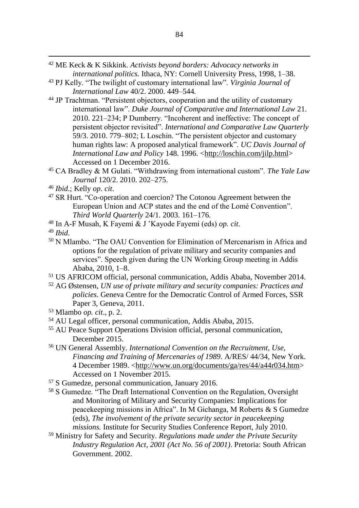- <sup>42</sup> ME Keck & K Sikkink. *Activists beyond borders: Advocacy networks in international politics.* Ithaca, NY: Cornell University Press, 1998, 1–38.
- <sup>43</sup> PJ Kelly. "The twilight of customary international law". *Virginia Journal of International Law* 40/2. 2000. 449–544.
- <sup>44</sup> JP Trachtman. "Persistent objectors, cooperation and the utility of customary international law". *Duke Journal of Comparative and International Law* 21. 2010. 221–234; P Dumberry. "Incoherent and ineffective: The concept of persistent objector revisited". *International and Comparative Law Quarterly* 59/3. 2010. 779–802; L Loschin. "The persistent objector and customary human rights law: A proposed analytical framework". *UC Davis Journal of International Law and Policy* 148. 1996. [<http://loschin.com/jilp.html>](http://loschin.com/jilp.html) Accessed on 1 December 2016.
- <sup>45</sup> CA Bradley & M Gulati. "Withdrawing from international custom". *The Yale Law Journal* 120/2. 2010. 202–275.
- <sup>46</sup> *Ibid*.; Kelly *op. cit*.
- <sup>47</sup> SR Hurt. "Co-operation and coercion? The Cotonou Agreement between the European Union and ACP states and the end of the Lomé Convention". *Third World Quarterly* 24/1. 2003. 161–176.
- <sup>48</sup> In A-F Musah, K Fayemi & J 'Kayode Fayemi (eds) *op. cit*.
- <sup>49</sup> *Ibid*.

- <sup>50</sup> N Mlambo. "The OAU Convention for Elimination of Mercenarism in Africa and options for the regulation of private military and security companies and services". Speech given during the UN Working Group meeting in Addis Ababa, 2010, 1–8.
- <sup>51</sup> US AFRICOM official, personal communication, Addis Ababa, November 2014.
- <sup>52</sup> AG Østensen, *UN use of private military and security companies: Practices and policies*. Geneva Centre for the Democratic Control of Armed Forces, SSR Paper 3, Geneva, 2011.
- <sup>53</sup> Mlambo *op. cit*., p. 2.
- <sup>54</sup> AU Legal officer, personal communication, Addis Ababa, 2015.
- <sup>55</sup> AU Peace Support Operations Division official, personal communication, December 2015.
- <sup>56</sup> UN General Assembly. *International Convention on the Recruitment, Use, Financing and Training of Mercenaries of 1989*. A/RES/ 44/34, New York. 4 December 1989. [<http://www.un.org/documents/ga/res/44/a44r034.htm>](http://www.un.org/documents/ga/res/44/a44r034.htm) Accessed on 1 November 2015.
- <sup>57</sup> S Gumedze, personal communication, January 2016.
- <sup>58</sup> S Gumedze. "The Draft International Convention on the Regulation, Oversight and Monitoring of Military and Security Companies: Implications for peacekeeping missions in Africa". In M Gichanga, M Roberts & S Gumedze (eds), *The involvement of the private security sector in peacekeeping missions.* Institute for Security Studies Conference Report, July 2010.
- <sup>59</sup> Ministry for Safety and Security. *Regulations made under the Private Security Industry Regulation Act, 2001 (Act No. 56 of 2001)*. Pretoria: South African Government. 2002.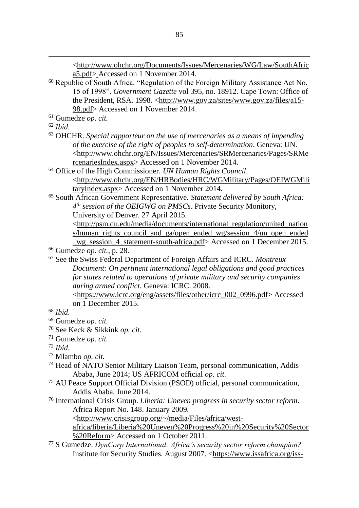[<http://www.ohchr.org/Documents/Issues/Mercenaries/WG/Law/SouthAfric](http://www.ohchr.org/Documents/Issues/Mercenaries/WG/Law/SouthAfrica5.pdf) [a5.pdf>](http://www.ohchr.org/Documents/Issues/Mercenaries/WG/Law/SouthAfrica5.pdf) Accessed on 1 November 2014.

- <sup>60</sup> Republic of South Africa. "Regulation of the Foreign Military Assistance Act No. 15 of 1998". *Government Gazette* vol 395, no. 18912*.* Cape Town: Office of the President, RSA. 1998. [<http://www.gov.za/sites/www.gov.za/files/a15-](http://www.gov.za/sites/www.gov.za/files/a15-98.pdf) [98.pdf>](http://www.gov.za/sites/www.gov.za/files/a15-98.pdf) Accessed on 1 November 2014.
- <sup>61</sup> Gumedze *op. cit.*
- <sup>62</sup> *Ibid*.

<u>.</u>

- <sup>63</sup> OHCHR. *Special rapporteur on the use of mercenaries as a means of impending of the exercise of the right of peoples to self-determination*. Geneva: UN. [<http://www.ohchr.org/EN/Issues/Mercenaries/SRMercenaries/Pages/SRMe](http://www.ohchr.org/EN/Issues/Mercenaries/SRMercenaries/Pages/SRMercenariesIndex.aspx) [rcenariesIndex.aspx>](http://www.ohchr.org/EN/Issues/Mercenaries/SRMercenaries/Pages/SRMercenariesIndex.aspx) Accessed on 1 November 2014.
- <sup>64</sup> Office of the High Commissioner. *UN Human Rights Council*. [<http://www.ohchr.org/EN/HRBodies/HRC/WGMilitary/Pages/OEIWGMili](http://www.ohchr.org/EN/HRBodies/HRC/WGMilitary/Pages/OEIWGMilitaryIndex.aspx) [taryIndex.aspx>](http://www.ohchr.org/EN/HRBodies/HRC/WGMilitary/Pages/OEIWGMilitaryIndex.aspx) Accessed on 1 November 2014.
- <sup>65</sup> South African Government Representative. *Statement delivered by South Africa: 4 th session of the OEIGWG on PMSCs*. Private Security Monitory, University of Denver. 27 April 2015.

[<http://psm.du.edu/media/documents/international\\_regulation/united\\_nation](http://psm.du.edu/media/documents/international_regulation/united_nations/human_rights_council_and_ga/open_ended_wg/session_4/un_open_ended_wg_session_4_statement-south-africa.pdf) [s/human\\_rights\\_council\\_and\\_ga/open\\_ended\\_wg/session\\_4/un\\_open\\_ended](http://psm.du.edu/media/documents/international_regulation/united_nations/human_rights_council_and_ga/open_ended_wg/session_4/un_open_ended_wg_session_4_statement-south-africa.pdf)

- wg\_session\_4\_statement-south-africa.pdf> Accessed on 1 December 2015. <sup>66</sup> Gumedze *op. cit.*, p. 28.
- <sup>67</sup> See the Swiss Federal Department of Foreign Affairs and ICRC. *Montreux Document: On pertinent international legal obligations and good practices for states related to operations of private military and security companies during armed conflict.* Geneva: ICRC. 2008.
	- [<https://www.icrc.org/eng/assets/files/other/icrc\\_002\\_0996.pdf>](https://www.icrc.org/eng/assets/files/other/icrc_002_0996.pdf) Accessed on 1 December 2015.

- <sup>69</sup> Gumedze *op. cit.*
- <sup>70</sup> See Keck & Sikkink *op. cit.*
- <sup>71</sup> Gumedze *op. cit.*
- <sup>72</sup> *Ibid*.
- <sup>73</sup> Mlambo *op. cit.*
- <sup>74</sup> Head of NATO Senior Military Liaison Team, personal communication, Addis Ababa, June 2014; US AFRICOM official *op. cit.*
- <sup>75</sup> AU Peace Support Official Division (PSOD) official, personal communication, Addis Ababa, June 2014.
- <sup>76</sup> International Crisis Group. *Liberia: Uneven progress in security sector reform*. Africa Report No. 148. January 2009.

[<http://www.crisisgroup.org/~/media/Files/africa/west-](http://www.crisisgroup.org/~/media/Files/africa/west-africa/liberia/Liberia%20Uneven%20Progress%20in%20Security%20Sector%20Reform)

[africa/liberia/Liberia%20Uneven%20Progress%20in%20Security%20Sector](http://www.crisisgroup.org/~/media/Files/africa/west-africa/liberia/Liberia%20Uneven%20Progress%20in%20Security%20Sector%20Reform) [%20Reform>](http://www.crisisgroup.org/~/media/Files/africa/west-africa/liberia/Liberia%20Uneven%20Progress%20in%20Security%20Sector%20Reform) Accessed on 1 October 2011.

<sup>77</sup> S Gumedze. *DynCorp International: Africa's security sector reform champion?* Institute for Security Studies. August 2007. [<https://www.issafrica.org/iss-](https://www.issafrica.org/iss-today/dyncorp-international-africas-security-sector-reform-champion)

<sup>68</sup> *Ibid*.